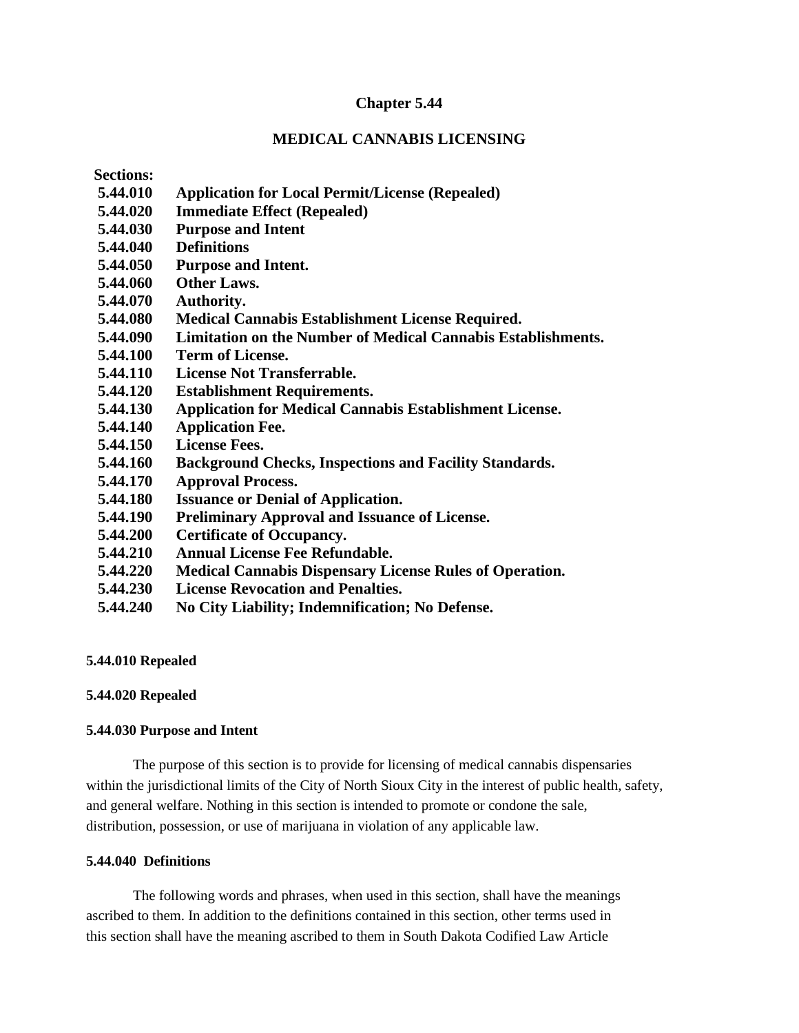# **Chapter 5.44**

# **MEDICAL CANNABIS LICENSING**

**Sections:**

- **5.44.010 Application for Local Permit/License (Repealed)**
- **5.44.020 Immediate Effect (Repealed)**
- **5.44.030 Purpose and Intent**
- **5.44.040 Definitions**
- **5.44.050 Purpose and Intent.**
- **5.44.060 Other Laws.**
- **5.44.070 Authority.**
- **5.44.080 Medical Cannabis Establishment License Required.**
- **5.44.090 Limitation on the Number of Medical Cannabis Establishments.**
- **5.44.100 Term of License.**
- **5.44.110 License Not Transferrable.**
- **5.44.120 Establishment Requirements.**
- **5.44.130 Application for Medical Cannabis Establishment License.**
- **5.44.140 Application Fee.**
- **5.44.150 License Fees.**
- **5.44.160 Background Checks, Inspections and Facility Standards.**
- **5.44.170 Approval Process.**
- **5.44.180 Issuance or Denial of Application.**
- **5.44.190 Preliminary Approval and Issuance of License.**
- **5.44.200 Certificate of Occupancy.**
- **5.44.210 Annual License Fee Refundable.**
- **5.44.220 Medical Cannabis Dispensary License Rules of Operation.**
- **5.44.230 License Revocation and Penalties.**
- **5.44.240 No City Liability; Indemnification; No Defense.**

# **5.44.010 Repealed**

# **5.44.020 Repealed**

# **5.44.030 Purpose and Intent**

The purpose of this section is to provide for licensing of medical cannabis dispensaries within the jurisdictional limits of the City of North Sioux City in the interest of public health, safety, and general welfare. Nothing in this section is intended to promote or condone the sale, distribution, possession, or use of marijuana in violation of any applicable law.

# **5.44.040 Definitions**

The following words and phrases, when used in this section, shall have the meanings ascribed to them. In addition to the definitions contained in this section, other terms used in this section shall have the meaning ascribed to them in South Dakota Codified Law Article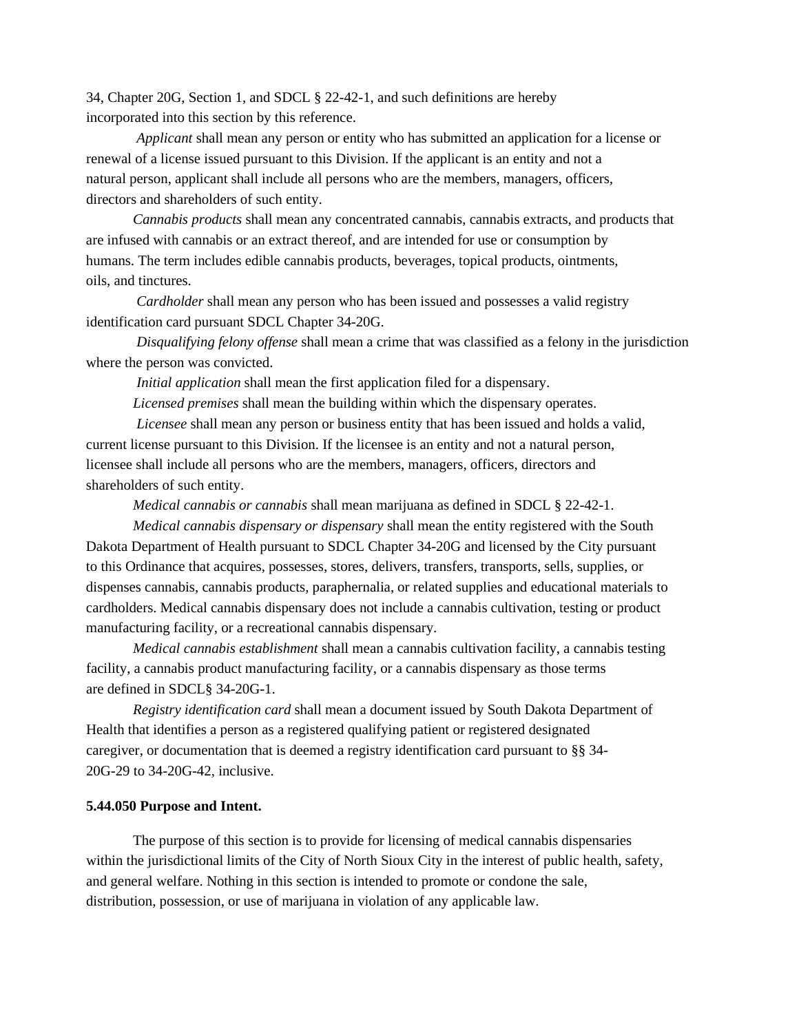34, Chapter 20G, Section 1, and SDCL § 22-42-1, and such definitions are hereby incorporated into this section by this reference.

 *Applicant* shall mean any person or entity who has submitted an application for a license or renewal of a license issued pursuant to this Division. If the applicant is an entity and not a natural person, applicant shall include all persons who are the members, managers, officers, directors and shareholders of such entity.

*Cannabis products* shall mean any concentrated cannabis, cannabis extracts, and products that are infused with cannabis or an extract thereof, and are intended for use or consumption by humans. The term includes edible cannabis products, beverages, topical products, ointments, oils, and tinctures.

 *Cardholder* shall mean any person who has been issued and possesses a valid registry identification card pursuant SDCL Chapter 34-20G.

 *Disqualifying felony offense* shall mean a crime that was classified as a felony in the jurisdiction where the person was convicted.

 *Initial application* shall mean the first application filed for a dispensary.

 *Licensed premises* shall mean the building within which the dispensary operates.

 *Licensee* shall mean any person or business entity that has been issued and holds a valid, current license pursuant to this Division. If the licensee is an entity and not a natural person, licensee shall include all persons who are the members, managers, officers, directors and shareholders of such entity.

*Medical cannabis or cannabis* shall mean marijuana as defined in SDCL § 22-42-1.

 *Medical cannabis dispensary or dispensary* shall mean the entity registered with the South Dakota Department of Health pursuant to SDCL Chapter 34-20G and licensed by the City pursuant to this Ordinance that acquires, possesses, stores, delivers, transfers, transports, sells, supplies, or dispenses cannabis, cannabis products, paraphernalia, or related supplies and educational materials to cardholders. Medical cannabis dispensary does not include a cannabis cultivation, testing or product manufacturing facility, or a recreational cannabis dispensary.

*Medical cannabis establishment* shall mean a cannabis cultivation facility, a cannabis testing facility, a cannabis product manufacturing facility, or a cannabis dispensary as those terms are defined in SDCL§ 34-20G-1.

*Registry identification card* shall mean a document issued by South Dakota Department of Health that identifies a person as a registered qualifying patient or registered designated caregiver, or documentation that is deemed a registry identification card pursuant to §§ 34- 20G-29 to 34-20G-42, inclusive.

#### **5.44.050 Purpose and Intent.**

The purpose of this section is to provide for licensing of medical cannabis dispensaries within the jurisdictional limits of the City of North Sioux City in the interest of public health, safety, and general welfare. Nothing in this section is intended to promote or condone the sale, distribution, possession, or use of marijuana in violation of any applicable law.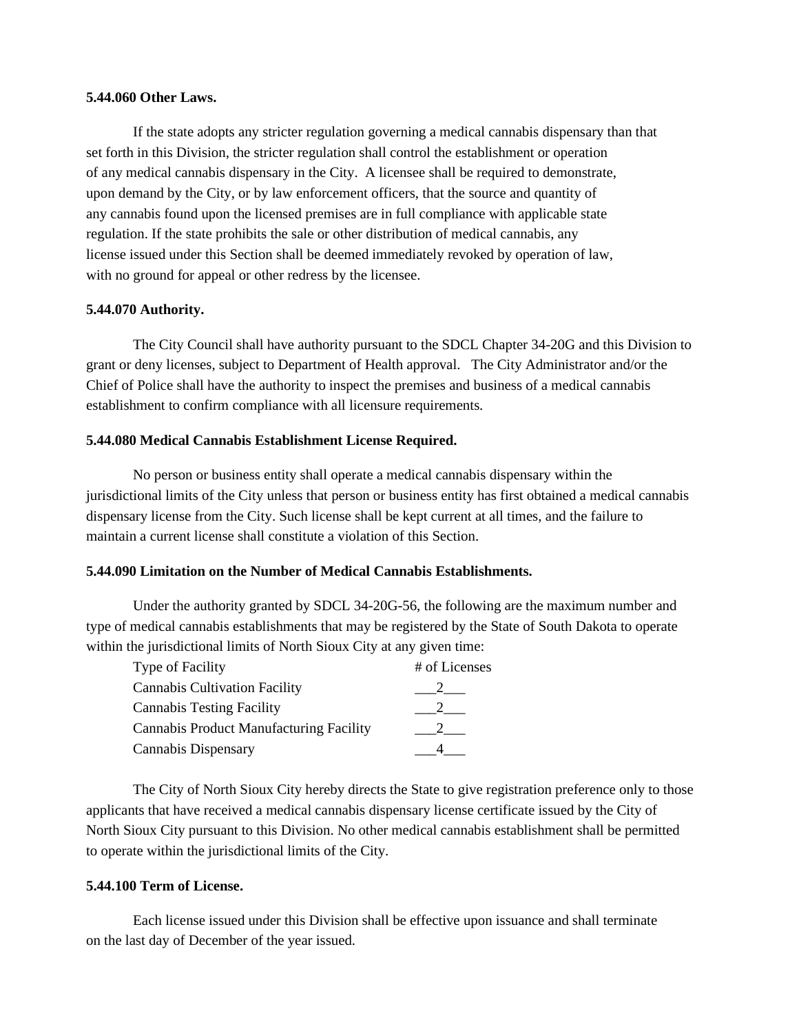### **5.44.060 Other Laws.**

If the state adopts any stricter regulation governing a medical cannabis dispensary than that set forth in this Division, the stricter regulation shall control the establishment or operation of any medical cannabis dispensary in the City. A licensee shall be required to demonstrate, upon demand by the City, or by law enforcement officers, that the source and quantity of any cannabis found upon the licensed premises are in full compliance with applicable state regulation. If the state prohibits the sale or other distribution of medical cannabis, any license issued under this Section shall be deemed immediately revoked by operation of law, with no ground for appeal or other redress by the licensee.

### **5.44.070 Authority.**

The City Council shall have authority pursuant to the SDCL Chapter 34-20G and this Division to grant or deny licenses, subject to Department of Health approval. The City Administrator and/or the Chief of Police shall have the authority to inspect the premises and business of a medical cannabis establishment to confirm compliance with all licensure requirements.

### **5.44.080 Medical Cannabis Establishment License Required.**

No person or business entity shall operate a medical cannabis dispensary within the jurisdictional limits of the City unless that person or business entity has first obtained a medical cannabis dispensary license from the City. Such license shall be kept current at all times, and the failure to maintain a current license shall constitute a violation of this Section.

# **5.44.090 Limitation on the Number of Medical Cannabis Establishments.**

Under the authority granted by SDCL 34-20G-56, the following are the maximum number and type of medical cannabis establishments that may be registered by the State of South Dakota to operate within the jurisdictional limits of North Sioux City at any given time:

| <b>Type of Facility</b>                        | # of Licenses |
|------------------------------------------------|---------------|
| <b>Cannabis Cultivation Facility</b>           |               |
| <b>Cannabis Testing Facility</b>               |               |
| <b>Cannabis Product Manufacturing Facility</b> |               |
| Cannabis Dispensary                            |               |

The City of North Sioux City hereby directs the State to give registration preference only to those applicants that have received a medical cannabis dispensary license certificate issued by the City of North Sioux City pursuant to this Division. No other medical cannabis establishment shall be permitted to operate within the jurisdictional limits of the City.

#### **5.44.100 Term of License.**

Each license issued under this Division shall be effective upon issuance and shall terminate on the last day of December of the year issued.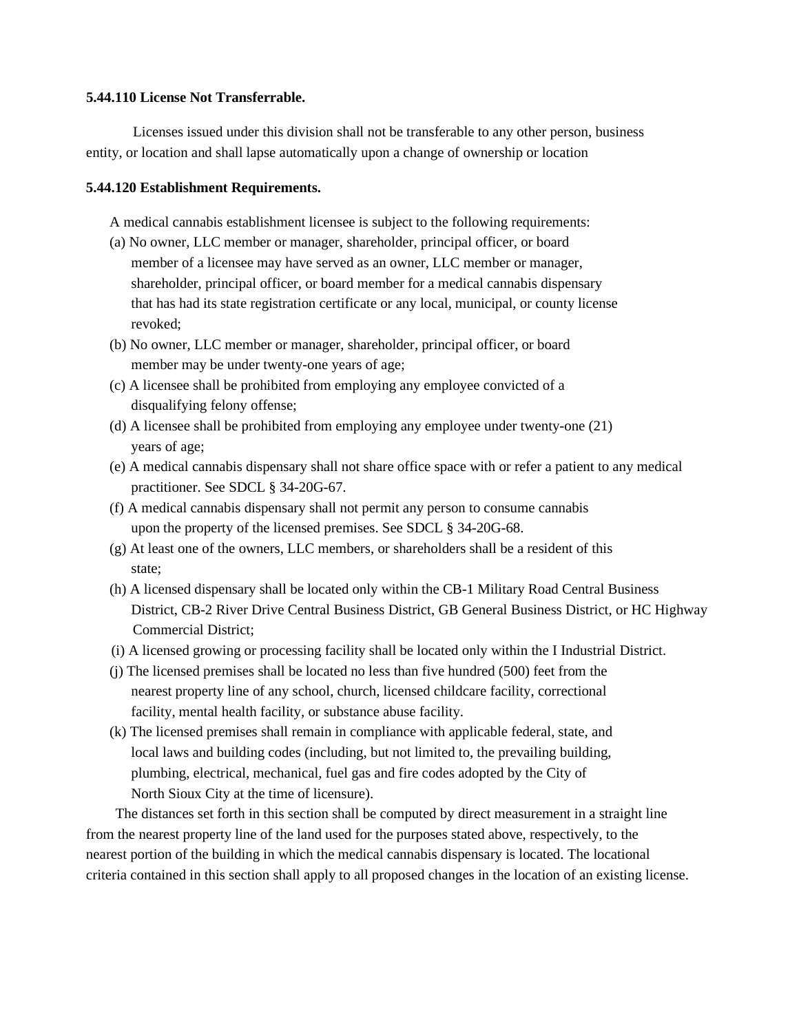### **5.44.110 License Not Transferrable.**

Licenses issued under this division shall not be transferable to any other person, business entity, or location and shall lapse automatically upon a change of ownership or location

### **5.44.120 Establishment Requirements.**

A medical cannabis establishment licensee is subject to the following requirements:

- (a) No owner, LLC member or manager, shareholder, principal officer, or board member of a licensee may have served as an owner, LLC member or manager, shareholder, principal officer, or board member for a medical cannabis dispensary that has had its state registration certificate or any local, municipal, or county license revoked;
- (b) No owner, LLC member or manager, shareholder, principal officer, or board member may be under twenty-one years of age;
- (c) A licensee shall be prohibited from employing any employee convicted of a disqualifying felony offense;
- (d) A licensee shall be prohibited from employing any employee under twenty-one (21) years of age;
- (e) A medical cannabis dispensary shall not share office space with or refer a patient to any medical practitioner. See SDCL § 34-20G-67.
- (f) A medical cannabis dispensary shall not permit any person to consume cannabis upon the property of the licensed premises. See SDCL § 34-20G-68.
- (g) At least one of the owners, LLC members, or shareholders shall be a resident of this state;
- (h) A licensed dispensary shall be located only within the CB-1 Military Road Central Business District, CB-2 River Drive Central Business District, GB General Business District, or HC Highway Commercial District;
- (i) A licensed growing or processing facility shall be located only within the I Industrial District.
- (j) The licensed premises shall be located no less than five hundred (500) feet from the nearest property line of any school, church, licensed childcare facility, correctional facility, mental health facility, or substance abuse facility.
- (k) The licensed premises shall remain in compliance with applicable federal, state, and local laws and building codes (including, but not limited to, the prevailing building, plumbing, electrical, mechanical, fuel gas and fire codes adopted by the City of North Sioux City at the time of licensure).

The distances set forth in this section shall be computed by direct measurement in a straight line from the nearest property line of the land used for the purposes stated above, respectively, to the nearest portion of the building in which the medical cannabis dispensary is located. The locational criteria contained in this section shall apply to all proposed changes in the location of an existing license.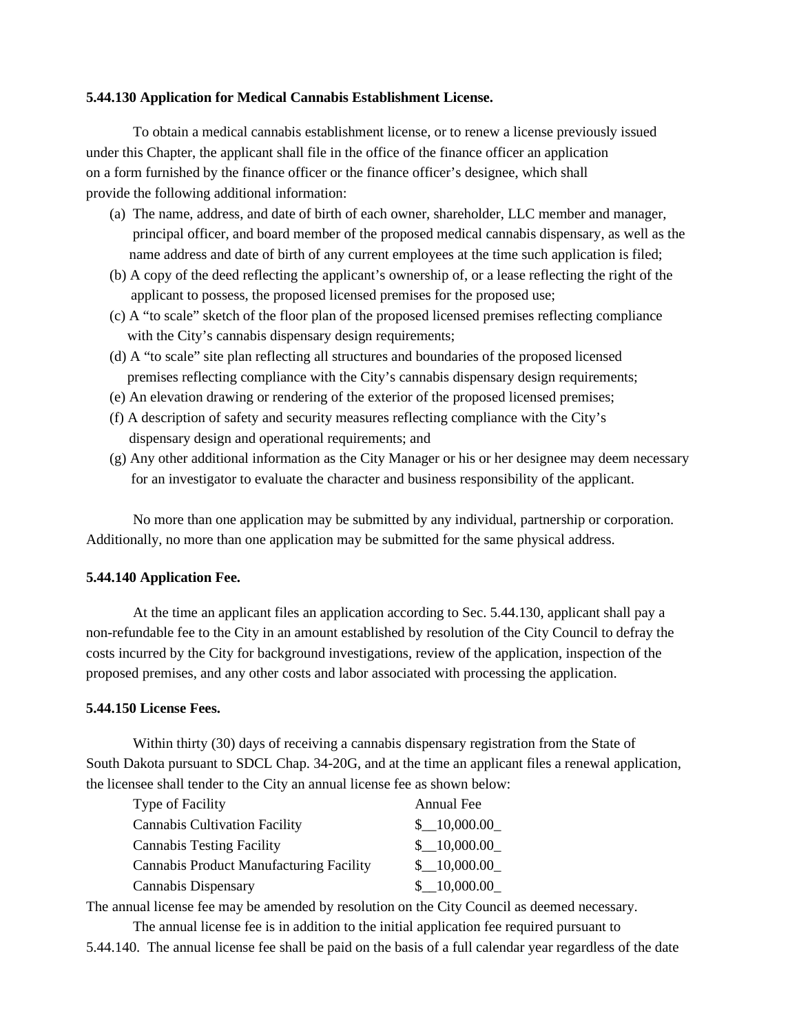### **5.44.130 Application for Medical Cannabis Establishment License.**

To obtain a medical cannabis establishment license, or to renew a license previously issued under this Chapter, the applicant shall file in the office of the finance officer an application on a form furnished by the finance officer or the finance officer's designee, which shall provide the following additional information:

- (a) The name, address, and date of birth of each owner, shareholder, LLC member and manager, principal officer, and board member of the proposed medical cannabis dispensary, as well as the name address and date of birth of any current employees at the time such application is filed;
- (b) A copy of the deed reflecting the applicant's ownership of, or a lease reflecting the right of the applicant to possess, the proposed licensed premises for the proposed use;
- (c) A "to scale" sketch of the floor plan of the proposed licensed premises reflecting compliance with the City's cannabis dispensary design requirements;
- (d) A "to scale" site plan reflecting all structures and boundaries of the proposed licensed premises reflecting compliance with the City's cannabis dispensary design requirements;
- (e) An elevation drawing or rendering of the exterior of the proposed licensed premises;
- (f) A description of safety and security measures reflecting compliance with the City's dispensary design and operational requirements; and
- (g) Any other additional information as the City Manager or his or her designee may deem necessary for an investigator to evaluate the character and business responsibility of the applicant.

No more than one application may be submitted by any individual, partnership or corporation. Additionally, no more than one application may be submitted for the same physical address.

#### **5.44.140 Application Fee.**

At the time an applicant files an application according to Sec. 5.44.130, applicant shall pay a non-refundable fee to the City in an amount established by resolution of the City Council to defray the costs incurred by the City for background investigations, review of the application, inspection of the proposed premises, and any other costs and labor associated with processing the application.

#### **5.44.150 License Fees.**

Within thirty (30) days of receiving a cannabis dispensary registration from the State of South Dakota pursuant to SDCL Chap. 34-20G, and at the time an applicant files a renewal application, the licensee shall tender to the City an annual license fee as shown below:

| <b>Type of Facility</b>                        | Annual Fee  |
|------------------------------------------------|-------------|
| <b>Cannabis Cultivation Facility</b>           | \$10,000.00 |
| <b>Cannabis Testing Facility</b>               | \$10,000.00 |
| <b>Cannabis Product Manufacturing Facility</b> | \$10,000.00 |
| Cannabis Dispensary                            | \$10,000.00 |

The annual license fee may be amended by resolution on the City Council as deemed necessary.

The annual license fee is in addition to the initial application fee required pursuant to

5.44.140. The annual license fee shall be paid on the basis of a full calendar year regardless of the date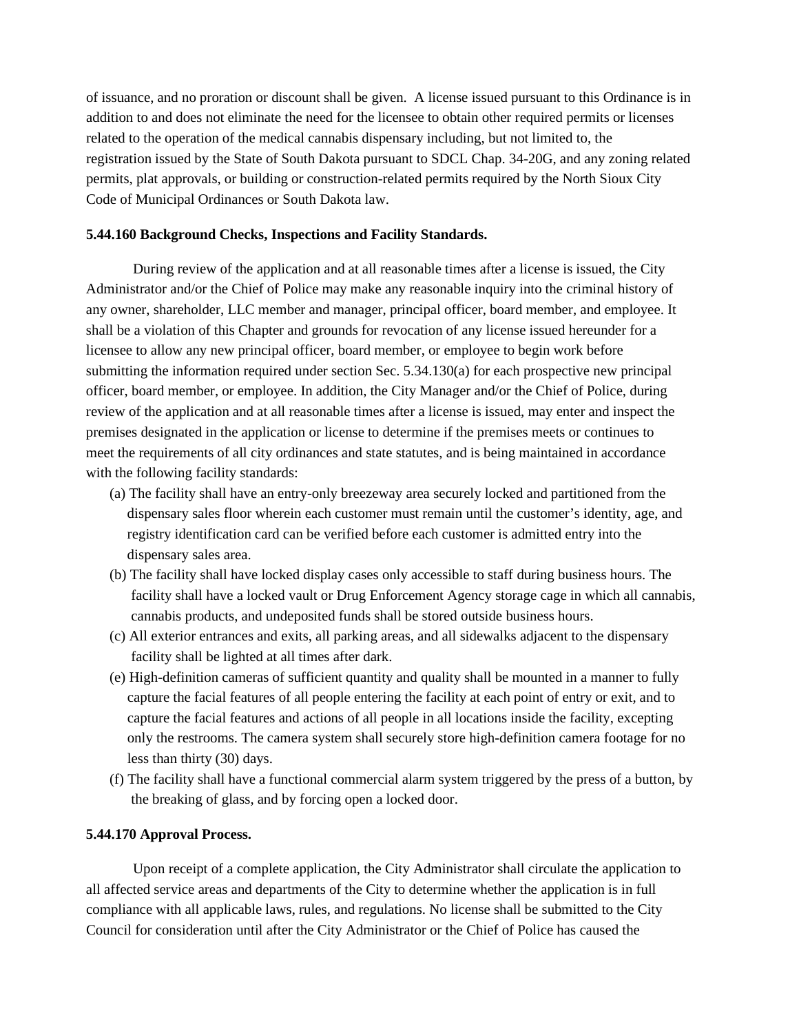of issuance, and no proration or discount shall be given. A license issued pursuant to this Ordinance is in addition to and does not eliminate the need for the licensee to obtain other required permits or licenses related to the operation of the medical cannabis dispensary including, but not limited to, the registration issued by the State of South Dakota pursuant to SDCL Chap. 34-20G, and any zoning related permits, plat approvals, or building or construction-related permits required by the North Sioux City Code of Municipal Ordinances or South Dakota law.

### **5.44.160 Background Checks, Inspections and Facility Standards.**

During review of the application and at all reasonable times after a license is issued, the City Administrator and/or the Chief of Police may make any reasonable inquiry into the criminal history of any owner, shareholder, LLC member and manager, principal officer, board member, and employee. It shall be a violation of this Chapter and grounds for revocation of any license issued hereunder for a licensee to allow any new principal officer, board member, or employee to begin work before submitting the information required under section Sec. 5.34.130(a) for each prospective new principal officer, board member, or employee. In addition, the City Manager and/or the Chief of Police, during review of the application and at all reasonable times after a license is issued, may enter and inspect the premises designated in the application or license to determine if the premises meets or continues to meet the requirements of all city ordinances and state statutes, and is being maintained in accordance with the following facility standards:

- (a) The facility shall have an entry-only breezeway area securely locked and partitioned from the dispensary sales floor wherein each customer must remain until the customer's identity, age, and registry identification card can be verified before each customer is admitted entry into the dispensary sales area.
- (b) The facility shall have locked display cases only accessible to staff during business hours. The facility shall have a locked vault or Drug Enforcement Agency storage cage in which all cannabis, cannabis products, and undeposited funds shall be stored outside business hours.
- (c) All exterior entrances and exits, all parking areas, and all sidewalks adjacent to the dispensary facility shall be lighted at all times after dark.
- (e) High-definition cameras of sufficient quantity and quality shall be mounted in a manner to fully capture the facial features of all people entering the facility at each point of entry or exit, and to capture the facial features and actions of all people in all locations inside the facility, excepting only the restrooms. The camera system shall securely store high-definition camera footage for no less than thirty (30) days.
- (f) The facility shall have a functional commercial alarm system triggered by the press of a button, by the breaking of glass, and by forcing open a locked door.

#### **5.44.170 Approval Process.**

Upon receipt of a complete application, the City Administrator shall circulate the application to all affected service areas and departments of the City to determine whether the application is in full compliance with all applicable laws, rules, and regulations. No license shall be submitted to the City Council for consideration until after the City Administrator or the Chief of Police has caused the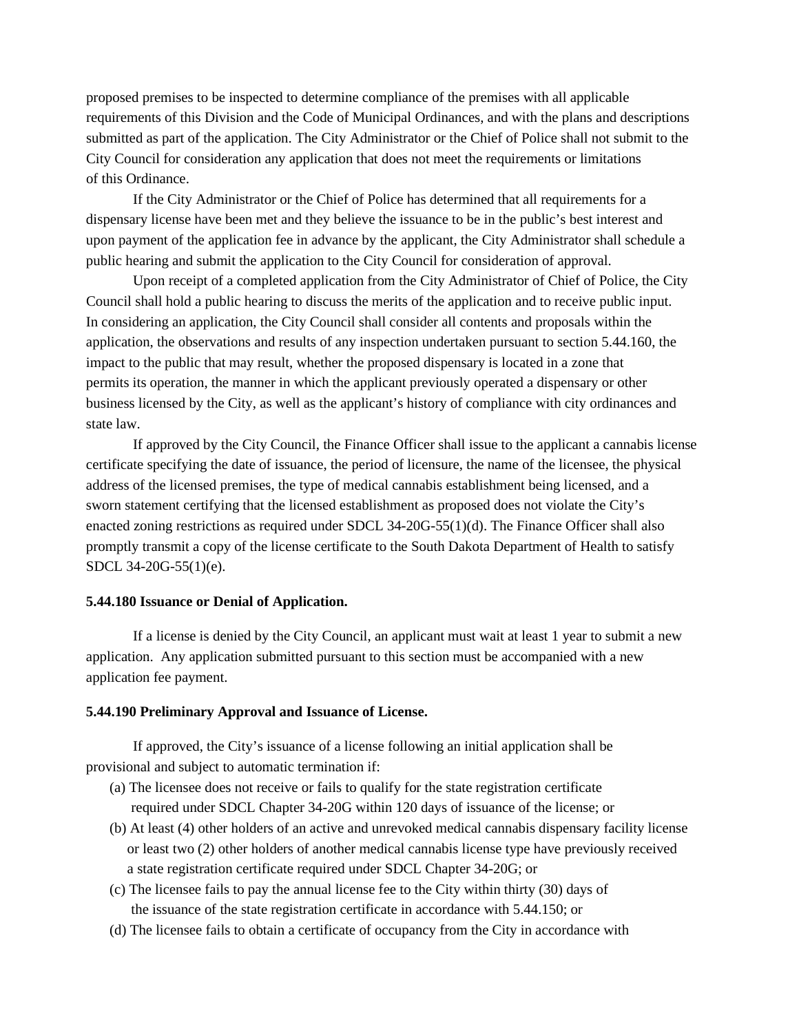proposed premises to be inspected to determine compliance of the premises with all applicable requirements of this Division and the Code of Municipal Ordinances, and with the plans and descriptions submitted as part of the application. The City Administrator or the Chief of Police shall not submit to the City Council for consideration any application that does not meet the requirements or limitations of this Ordinance.

If the City Administrator or the Chief of Police has determined that all requirements for a dispensary license have been met and they believe the issuance to be in the public's best interest and upon payment of the application fee in advance by the applicant, the City Administrator shall schedule a public hearing and submit the application to the City Council for consideration of approval.

Upon receipt of a completed application from the City Administrator of Chief of Police, the City Council shall hold a public hearing to discuss the merits of the application and to receive public input. In considering an application, the City Council shall consider all contents and proposals within the application, the observations and results of any inspection undertaken pursuant to section 5.44.160, the impact to the public that may result, whether the proposed dispensary is located in a zone that permits its operation, the manner in which the applicant previously operated a dispensary or other business licensed by the City, as well as the applicant's history of compliance with city ordinances and state law.

If approved by the City Council, the Finance Officer shall issue to the applicant a cannabis license certificate specifying the date of issuance, the period of licensure, the name of the licensee, the physical address of the licensed premises, the type of medical cannabis establishment being licensed, and a sworn statement certifying that the licensed establishment as proposed does not violate the City's enacted zoning restrictions as required under SDCL 34-20G-55(1)(d). The Finance Officer shall also promptly transmit a copy of the license certificate to the South Dakota Department of Health to satisfy SDCL 34-20G-55(1)(e).

### **5.44.180 Issuance or Denial of Application.**

If a license is denied by the City Council, an applicant must wait at least 1 year to submit a new application. Any application submitted pursuant to this section must be accompanied with a new application fee payment.

#### **5.44.190 Preliminary Approval and Issuance of License.**

If approved, the City's issuance of a license following an initial application shall be provisional and subject to automatic termination if:

- (a) The licensee does not receive or fails to qualify for the state registration certificate required under SDCL Chapter 34-20G within 120 days of issuance of the license; or
- (b) At least (4) other holders of an active and unrevoked medical cannabis dispensary facility license or least two (2) other holders of another medical cannabis license type have previously received a state registration certificate required under SDCL Chapter 34-20G; or
- (c) The licensee fails to pay the annual license fee to the City within thirty (30) days of the issuance of the state registration certificate in accordance with 5.44.150; or
- (d) The licensee fails to obtain a certificate of occupancy from the City in accordance with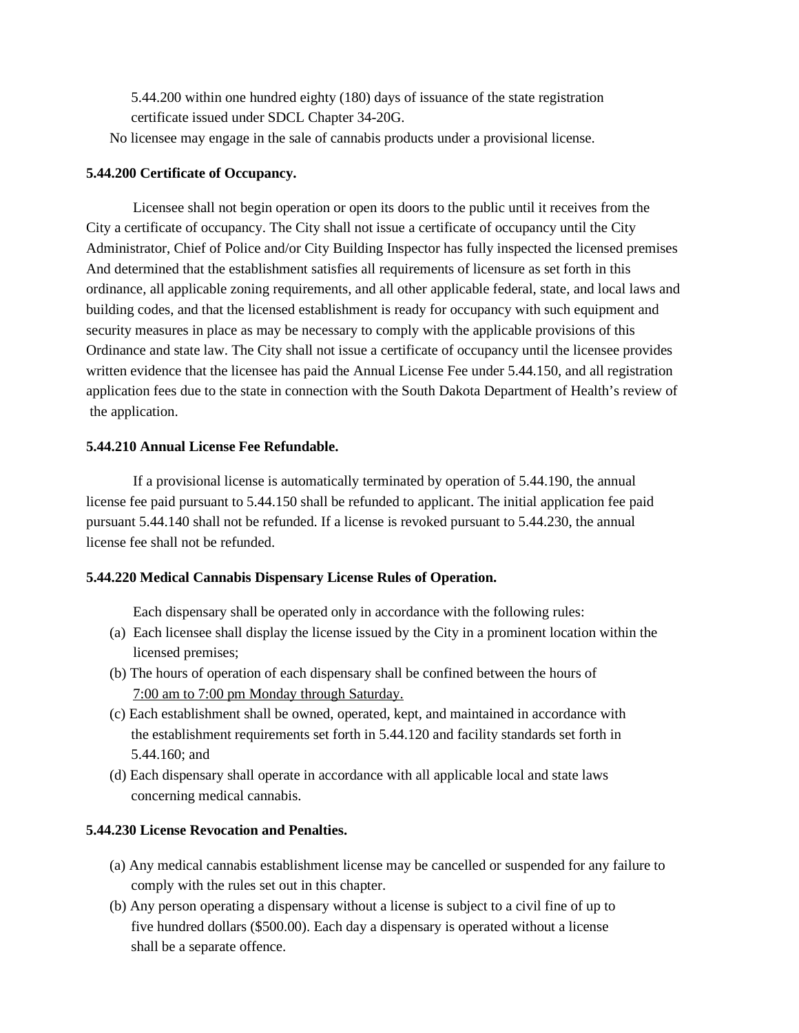5.44.200 within one hundred eighty (180) days of issuance of the state registration certificate issued under SDCL Chapter 34-20G.

No licensee may engage in the sale of cannabis products under a provisional license.

### **5.44.200 Certificate of Occupancy.**

Licensee shall not begin operation or open its doors to the public until it receives from the City a certificate of occupancy. The City shall not issue a certificate of occupancy until the City Administrator, Chief of Police and/or City Building Inspector has fully inspected the licensed premises And determined that the establishment satisfies all requirements of licensure as set forth in this ordinance, all applicable zoning requirements, and all other applicable federal, state, and local laws and building codes, and that the licensed establishment is ready for occupancy with such equipment and security measures in place as may be necessary to comply with the applicable provisions of this Ordinance and state law. The City shall not issue a certificate of occupancy until the licensee provides written evidence that the licensee has paid the Annual License Fee under 5.44.150, and all registration application fees due to the state in connection with the South Dakota Department of Health's review of the application.

### **5.44.210 Annual License Fee Refundable.**

If a provisional license is automatically terminated by operation of 5.44.190, the annual license fee paid pursuant to 5.44.150 shall be refunded to applicant. The initial application fee paid pursuant 5.44.140 shall not be refunded. If a license is revoked pursuant to 5.44.230, the annual license fee shall not be refunded.

# **5.44.220 Medical Cannabis Dispensary License Rules of Operation.**

Each dispensary shall be operated only in accordance with the following rules:

- (a) Each licensee shall display the license issued by the City in a prominent location within the licensed premises;
- (b) The hours of operation of each dispensary shall be confined between the hours of 7:00 am to 7:00 pm Monday through Saturday.
- (c) Each establishment shall be owned, operated, kept, and maintained in accordance with the establishment requirements set forth in 5.44.120 and facility standards set forth in 5.44.160; and
- (d) Each dispensary shall operate in accordance with all applicable local and state laws concerning medical cannabis.

# **5.44.230 License Revocation and Penalties.**

- (a) Any medical cannabis establishment license may be cancelled or suspended for any failure to comply with the rules set out in this chapter.
- (b) Any person operating a dispensary without a license is subject to a civil fine of up to five hundred dollars (\$500.00). Each day a dispensary is operated without a license shall be a separate offence.